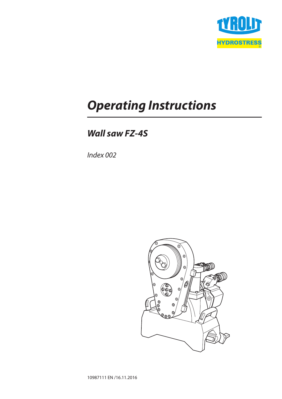

# *Operating Instructions*

# *Wall saw FZ-4S*

*Index 002*

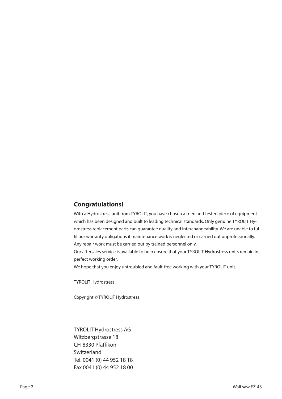# **Congratulations!**

With a Hydrostress unit from TYROLIT, you have chosen a tried and tested piece of equipment which has been designed and built to leading technical standards. Only genuine TYROLIT Hydrostress replacement parts can guarantee quality and interchangeability. We are unable to fulfil our warranty obligations if maintenance work is neglected or carried out unprofessionally. Any repair work must be carried out by trained personnel only.

Our aftersales service is available to help ensure that your TYROLIT Hydrostress units remain in perfect working order.

We hope that you enjoy untroubled and fault-free working with your TYROLIT unit.

TYROLIT Hydrostress

Copyright © TYROLIT Hydrostress

TYROLIT Hydrostress AG Witzbergstrasse 18 CH-8330 Pfäffikon **Switzerland** Tel. 0041 (0) 44 952 18 18 Fax 0041 (0) 44 952 18 00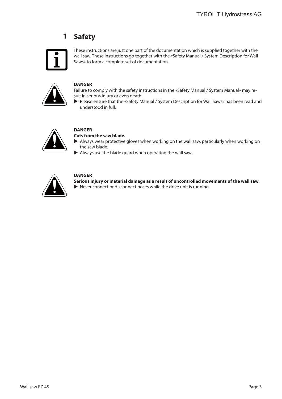### **Safety 1**



These instructions are just one part of the documentation which is supplied together with the wall saw. These instructions go together with the «Safety Manual / System Description for Wall Saws» to form a complete set of documentation.



### **DANGER**

Failure to comply with the safety instructions in the «Safety Manual / System Manual» may result in serious injury or even death.

Please ensure that the «Safety Manual / System Description for Wall Saws» has been read and understood in full.



# **DANGER**

**Cuts from the saw blade.**

- $\blacktriangleright$  Always wear protective gloves when working on the wall saw, particularly when working on the saw blade.
- $\blacktriangleright$  Always use the blade guard when operating the wall saw.



### **DANGER**

**Serious injury or material damage as a result of uncontrolled movements of the wall saw.**

 $\blacktriangleright$  Never connect or disconnect hoses while the drive unit is running.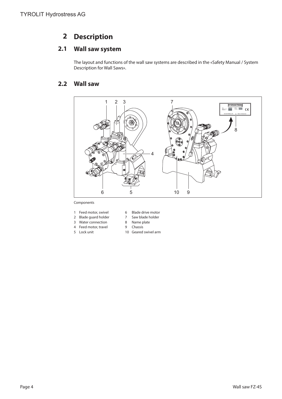### **Description 2**

### **Wall saw system 2.1**

The layout and functions of the wall saw systems are described in the «Safety Manual / System Description for Wall Saws».

### **Wall saw 2.2**



Components

- 1 Feed motor, swivel 6 Blade drive motor<br>2 Blade guard holder 7 Saw blade holder
- 2 Blade guard holder
- 3 Water connection 8 Name plate
- 4 Feed motor, travel 9 Chassis
- 
- 
- 
- 5 Lock unit 10 Geared swivel arm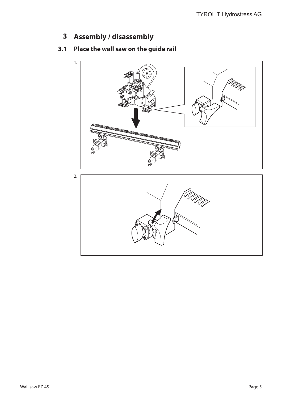**Assembly / disassembly 3**

### **Place the wall saw on the guide rail 3.1**

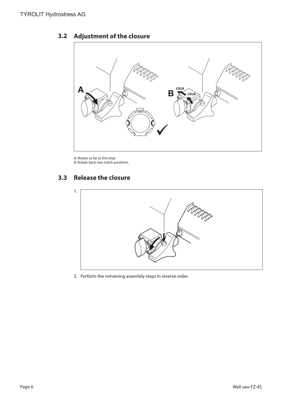# UP **A A B B Click**

### **Adjustment of the closure 3.2**

A: Rotate as far as the stop. B: Rotate back two notch positions.

### **Release the closure 3.3**



2. Perform the remaining assembly steps in reverse order.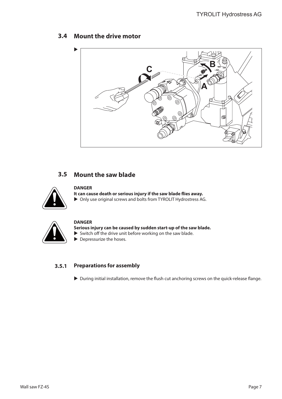# **Mount the drive motor 3.4**



# **Mount the saw blade 3.5**



### **DANGER**

**It can cause death or serious injury if the saw blade flies away.**  $\triangleright$  Only use original screws and bolts from TYROLIT Hydrostress AG.



### **DANGER**

**Serious injury can be caused by sudden start-up of the saw blade.**  $\triangleright$  Switch off the drive unit before working on the saw blade.

 $\blacktriangleright$  Depressurize the hoses.

### **Preparations for assembly 3.5.1**

 $\triangleright$  During initial installation, remove the flush cut anchoring screws on the quick-release flange.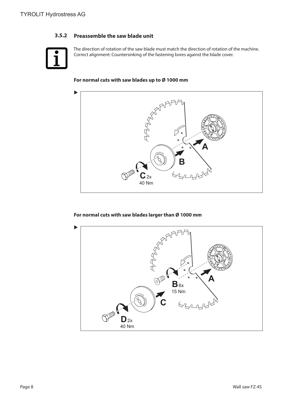### **Preassemble the saw blade unit 3.5.2**



The direction of rotation of the saw blade must match the direction of rotation of the machine. Correct alignment: Countersinking of the fastening bores against the blade cover.

### **For normal cuts with saw blades up to Ø 1000 mm**



### **For normal cuts with saw blades larger than Ø 1000 mm**

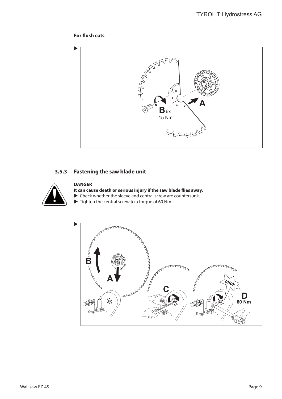## **For flush cuts**



### **Fastening the saw blade unit 3.5.3**



# **DANGER**

**It can cause death or serious injury if the saw blade flies away.**

- $\triangleright$  Check whether the sleeve and central screw are countersunk.
- $\blacktriangleright$  Tighten the central screw to a torque of 60 Nm.

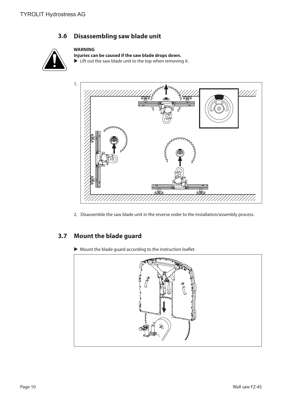### **Disassembling saw blade unit 3.6**

# **WARNING**



**Injuries can be caused if the saw blade drops down.**  $\blacktriangleright$  Lift out the saw blade unit to the top when removing it.



2. Disassemble the saw blade unit in the reverse order to the installation/assembly process.

### **Mount the blade guard 3.7**

 $\blacktriangleright$  Mount the blade guard according to the instruction leaflet.

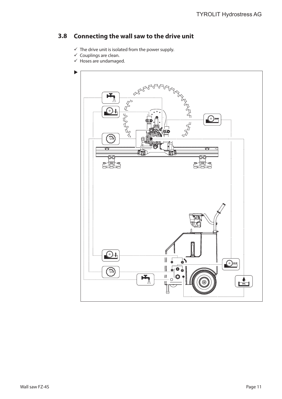### **Connecting the wall saw to the drive unit 3.8**

- $\checkmark$  The drive unit is isolated from the power supply.
- $\checkmark$  Couplings are clean.
- $\checkmark$  Hoses are undamaged.

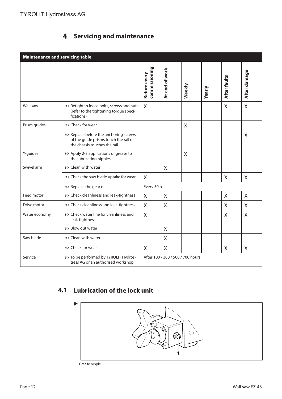# **Servicing and maintenance 4**

| <b>Maintenance and servicing table</b> |                                                                                                                |                               |                                   |        |        |              |              |
|----------------------------------------|----------------------------------------------------------------------------------------------------------------|-------------------------------|-----------------------------------|--------|--------|--------------|--------------|
|                                        |                                                                                                                | commissioning<br>Before every | At end of work                    | Weekly | Yearly | After faults | After damage |
| Wall saw                               | & Retighten loose bolts, screws and nuts<br>(refer to the tightening torque speci-<br>fications)               | X                             |                                   |        |        | $\sf X$      | $\sf X$      |
| Prism guides                           | อะ Check for wear                                                                                              |                               |                                   | X      |        |              |              |
|                                        | & Replace before the anchoring screws<br>of the guide prisms touch the rail or<br>the chassis touches the rail |                               |                                   |        |        |              | X            |
| Y-guides                               | & Apply 2-3 applications of grease to<br>the lubricating nipples                                               |                               |                                   | X      |        |              |              |
| Swivel arm                             | & Clean with water                                                                                             |                               | $\sf X$                           |        |        |              |              |
|                                        | & Check the saw blade uptake for wear                                                                          | X                             |                                   |        |        | X            | X            |
|                                        | & Replace the gear oil                                                                                         | Every 50 h                    |                                   |        |        |              |              |
| Feed motor                             | & Check cleanliness and leak-tightness                                                                         | X                             | $\sf X$                           |        |        | X            | X            |
| Drive motor                            | & Check cleanliness and leak-tightness                                                                         | X                             | $\times$                          |        |        | X            | X            |
| Water economy                          | හා Check water line for cleanliness and<br>leak-tightness                                                      | $\overline{X}$                |                                   |        |        | X            | X            |
|                                        | හ Blow out water                                                                                               |                               | $\sf X$                           |        |        |              |              |
| Saw blade                              | & Clean with water                                                                                             |                               | $\sf X$                           |        |        |              |              |
|                                        | อง Check for wear                                                                                              | X                             | X                                 |        |        | X            | X            |
| Service                                | &> To be performed by TYROLIT Hydros-<br>tress AG or an authorised workshop                                    |                               | After 100 / 300 / 500 / 700 hours |        |        |              |              |

# **Lubrication of the lock unit 4.1**



Page 12 Wall saw FZ-4S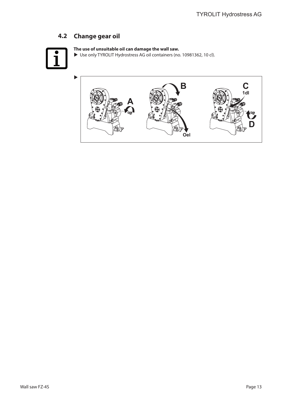# **Change gear oil 4.2**



# **The use of unsuitable oil can damage the wall saw.**

▶ Use only TYROLIT Hydrostress AG oil containers (no. 10981362, 10 cl).

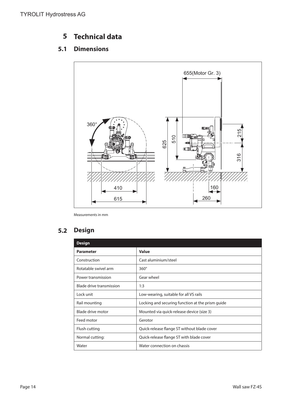### **Technical data 5**

### **Dimensions 5.1**



Measurements in mm

### **Design 5.2**

| <b>Design</b>            |                                                  |
|--------------------------|--------------------------------------------------|
| <b>Parameter</b>         | <b>Value</b>                                     |
| Construction             | Cast aluminium/steel                             |
| Rotatable swivel arm     | $360^\circ$                                      |
| Power transmission       | Gear wheel                                       |
| Blade drive transmission | 1:3                                              |
| Lock unit                | Low-wearing, suitable for all VS rails           |
| Rail mounting            | Locking and securing function at the prism quide |
| Blade drive motor        | Mounted via quick-release device (size 3)        |
| Feed motor               | Gerotor                                          |
| Flush cutting            | Quick-release flange ST without blade cover      |
| Normal cutting:          | Quick-release flange ST with blade cover         |
| Water                    | Water connection on chassis                      |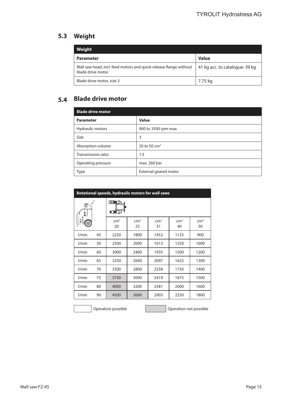# **Weight 5.3**

| Weight                                                                                 |                                |
|----------------------------------------------------------------------------------------|--------------------------------|
| <b>Parameter</b>                                                                       | <b>Value</b>                   |
| Wall saw head, incl. feed motors and quick-release flange without<br>blade drive motor | 41 kg acc. to catalogue: 39 kg |
| Blade drive motor, size 3                                                              | 7.75 kg                        |

# **Blade drive motor 5.4**

| <b>Blade drive motor</b> |                       |
|--------------------------|-----------------------|
| <b>Parameter</b>         | <b>Value</b>          |
| Hydraulic motors         | 900 to 3500 rpm max.  |
| Size                     | 3                     |
| Absorption volume        | 20 to 50 $cm3$        |
| Transmission ratio       | 1:3                   |
| Operating pressure       | max. 260 bar          |
| <b>Type</b>              | External geared motor |

| Rotational speeds, hydraulic motors for wall saws |    |                          |                       |                       |                       |                       |
|---------------------------------------------------|----|--------------------------|-----------------------|-----------------------|-----------------------|-----------------------|
| 疂                                                 |    | <b>THE EXA</b><br>00 田 八 |                       |                       |                       |                       |
|                                                   |    | cm <sup>3</sup><br>20    | cm <sup>3</sup><br>25 | cm <sup>3</sup><br>31 | cm <sup>3</sup><br>40 | cm <sup>3</sup><br>50 |
| l/min                                             | 45 | 2250                     | 1800                  | 1452                  | 1125                  | 900                   |
| l/min                                             | 50 | 2500                     | 2000                  | 1613                  | 1250                  | 1000                  |
| l/min                                             | 60 | 3000                     | 2400                  | 1935                  | 1500                  | 1200                  |
| l/min                                             | 65 | 3250                     | 2600                  | 2097                  | 1625                  | 1300                  |
| l/min                                             | 70 | 3500                     | 2800                  | 2258                  | 1750                  | 1400                  |
| l/min                                             | 75 | 3750                     | 3000                  | 2419                  | 1875                  | 1500                  |
| l/min                                             | 80 | 4000                     | 3200                  | 2581                  | 2000                  | 1600                  |
| l/min                                             | 90 | 4500                     | 3600                  | 2903                  | 2250                  | 1800                  |

Operation possible **Operation is a set of the Contract Operation** not possible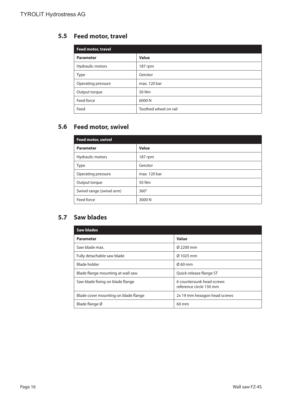# **Feed motor, travel 5.5**

| Feed motor, travel |                       |
|--------------------|-----------------------|
| <b>Parameter</b>   | Value                 |
| Hydraulic motors   | 187 rpm               |
| <b>Type</b>        | Gerotor               |
| Operating pressure | max. 120 bar          |
| Output torque      | 50 Nm                 |
| Feed force         | 6000 N                |
| Feed               | Toothed wheel on rail |

# **Feed motor, swivel 5.6**

| <b>Feed motor, swivel</b> |              |  |  |  |
|---------------------------|--------------|--|--|--|
| <b>Parameter</b>          | Value        |  |  |  |
| Hydraulic motors          | 187 rpm      |  |  |  |
| <b>Type</b>               | Gerotor      |  |  |  |
| Operating pressure        | max. 120 bar |  |  |  |
| Output torque             | 50 Nm        |  |  |  |
| Swivel range (swivel arm) | $360^\circ$  |  |  |  |
| Feed force                | 3000 N       |  |  |  |

# **Saw blades 5.7**

| <b>Saw blades</b>                    |                                                      |
|--------------------------------------|------------------------------------------------------|
| <b>Parameter</b>                     | Value                                                |
| Saw blade max.                       | Ø 2200 mm                                            |
| Fully detachable saw blade           | Ø 1025 mm                                            |
| Blade holder                         | $\varnothing$ 60 mm                                  |
| Blade flange mounting at wall saw    | Quick-release flange ST                              |
| Saw blade fixing on blade flange     | 6 countersunk head screws<br>reference circle 130 mm |
| Blade cover mounting on blade flange | 2x 19 mm hexagon head screws                         |
| Blade flange Ø                       | $60 \text{ mm}$                                      |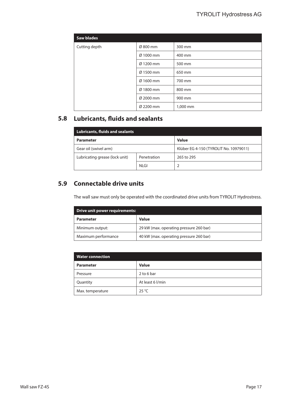| <b>Saw blades</b> |           |          |
|-------------------|-----------|----------|
| Cutting depth     | Ø 800 mm  | 300 mm   |
|                   | Ø 1000 mm | 400 mm   |
|                   | Ø 1200 mm | 500 mm   |
|                   | Ø 1500 mm | 650 mm   |
|                   | Ø 1600 mm | 700 mm   |
|                   | Ø 1800 mm | 800 mm   |
|                   | Ø 2000 mm | 900 mm   |
|                   | Ø 2200 mm | 1,000 mm |

# **Lubricants, fluids and sealants 5.8**

| <b>Lubricants, fluids and sealants</b> |             |                                        |  |  |
|----------------------------------------|-------------|----------------------------------------|--|--|
| <b>Parameter</b>                       |             | <b>Value</b>                           |  |  |
| Gear oil (swivel arm)                  |             | Klüber EG 4-150 (TYROLIT No. 10979011) |  |  |
| Lubricating grease (lock unit)         | Penetration | 265 to 295                             |  |  |
|                                        | <b>NLGI</b> |                                        |  |  |

# **Connectable drive units 5.9**

The wall saw must only be operated with the coordinated drive units from TYROLIT Hydrostress.

| Drive unit power requirements: |                                         |  |
|--------------------------------|-----------------------------------------|--|
| <b>Parameter</b>               | <b>Value</b>                            |  |
| Minimum output:                | 29 kW (max. operating pressure 260 bar) |  |
| Maximum performance            | 40 kW (max. operating pressure 260 bar) |  |

| <b>Water connection</b> |                  |  |  |
|-------------------------|------------------|--|--|
| <b>Parameter</b>        | <b>Value</b>     |  |  |
| Pressure                | 2 to 6 bar       |  |  |
| Quantity                | At least 6 l/min |  |  |
| Max. temperature        | $25^{\circ}$ C   |  |  |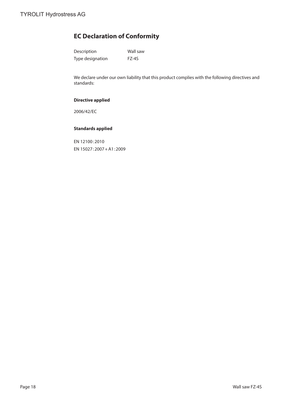# **EC Declaration of Conformity**

| Description      | Wall saw |
|------------------|----------|
| Type designation | FZ-4S    |

We declare under our own liability that this product complies with the following directives and standards:

### **Directive applied**

2006/42/EC

### **Standards applied**

EN 12100:2010 EN 15027:2007+A1:2009